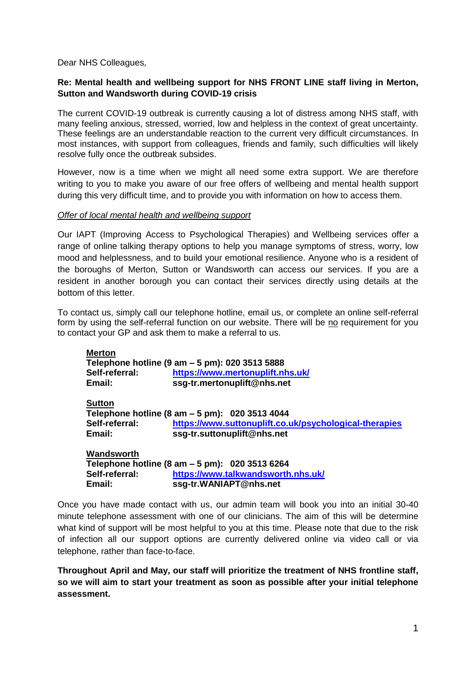Dear NHS Colleagues,

# **Re: Mental health and wellbeing support for NHS FRONT LINE staff living in Merton, Sutton and Wandsworth during COVID-19 crisis**

The current COVID-19 outbreak is currently causing a lot of distress among NHS staff, with many feeling anxious, stressed, worried, low and helpless in the context of great uncertainty. These feelings are an understandable reaction to the current very difficult circumstances. In most instances, with support from colleagues, friends and family, such difficulties will likely resolve fully once the outbreak subsides.

However, now is a time when we might all need some extra support. We are therefore writing to you to make you aware of our free offers of wellbeing and mental health support during this very difficult time, and to provide you with information on how to access them.

#### *Offer of local mental health and wellbeing support*

Our IAPT (Improving Access to Psychological Therapies) and Wellbeing services offer a range of online talking therapy options to help you manage symptoms of stress, worry, low mood and helplessness, and to build your emotional resilience. Anyone who is a resident of the boroughs of Merton, Sutton or Wandsworth can access our services. If you are a resident in another borough you can contact their services directly using details at the bottom of this letter.

To contact us, simply call our telephone hotline, email us, or complete an online self-referral form by using the self-referral function on our website. There will be no requirement for you to contact your GP and ask them to make a referral to us.

| <b>Merton</b>  |                                                        |
|----------------|--------------------------------------------------------|
|                | Telephone hotline (9 am – 5 pm): 020 3513 5888         |
| Self-referral: | https://www.mertonuplift.nhs.uk/                       |
| Email:         | ssg-tr.mertonuplift@nhs.net                            |
| <b>Sutton</b>  |                                                        |
|                | Telephone hotline (8 am – 5 pm): 020 3513 4044         |
| Self-referral: | https://www.suttonuplift.co.uk/psychological-therapies |
| Email:         | ssg-tr.suttonuplift@nhs.net                            |
| Wandsworth     |                                                        |
|                | Telephone hotline (8 am - 5 pm): 020 3513 6264         |

**Self-referral: <https://www.talkwandsworth.nhs.uk/> Email: ssg-tr.WANIAPT@nhs.net**

Once you have made contact with us, our admin team will book you into an initial 30-40 minute telephone assessment with one of our clinicians. The aim of this will be determine what kind of support will be most helpful to you at this time. Please note that due to the risk of infection all our support options are currently delivered online via video call or via telephone, rather than face-to-face.

**Throughout April and May, our staff will prioritize the treatment of NHS frontline staff, so we will aim to start your treatment as soon as possible after your initial telephone assessment.**